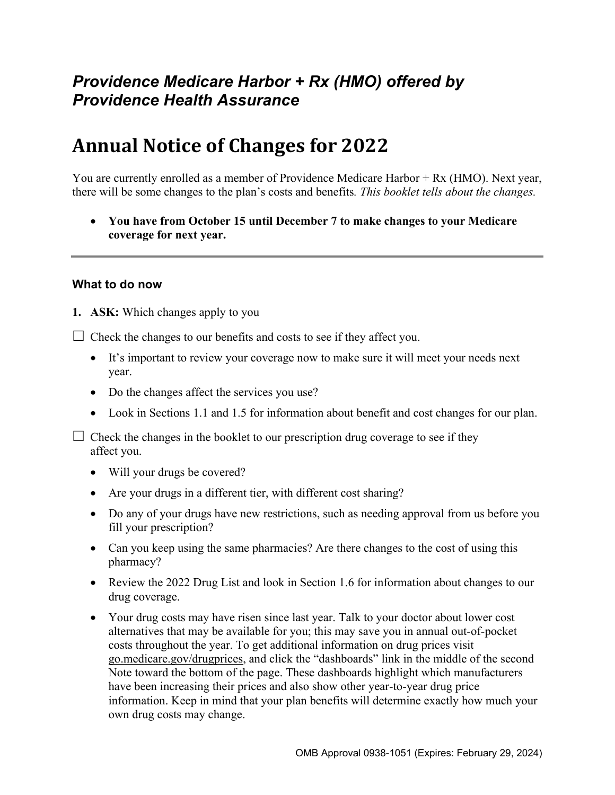# *Providence Medicare Harbor + Rx (HMO) offered by Providence Health Assurance*

# **Annual Notice of Changes for 2022**

You are currently enrolled as a member of Providence Medicare Harbor + Rx (HMO). Next year, there will be some changes to the plan's costs and benefits*. This booklet tells about the changes.* 

 **You have from October 15 until December 7 to make changes to your Medicare coverage for next year.**

#### **What to do now**

**1. ASK:** Which changes apply to you

 $\Box$  Check the changes to our benefits and costs to see if they affect you.

- It's important to review your coverage now to make sure it will meet your needs next year.
- Do the changes affect the services you use?
- Look in Sections 1.1 and 1.5 for information about benefit and cost changes for our plan.

 $\Box$  Check the changes in the booklet to our prescription drug coverage to see if they affect you.

- Will your drugs be covered?
- Are your drugs in a different tier, with different cost sharing?
- Do any of your drugs have new restrictions, such as needing approval from us before you fill your prescription?
- Can you keep using the same pharmacies? Are there changes to the cost of using this pharmacy?
- Review the 2022 Drug List and look in Section 1.6 for information about changes to our drug coverage.
- Your drug costs may have risen since last year. Talk to your doctor about lower cost alternatives that may be available for you; this may save you in annual out-of-pocket costs throughout the year. To get additional information on drug prices visit [go.medicare.gov/drugprices,](https://go.medicare.gov/drugprices) and click the "dashboards" link in the middle of the second Note toward the bottom of the page. These dashboards highlight which manufacturers have been increasing their prices and also show other year-to-year drug price information. Keep in mind that your plan benefits will determine exactly how much your own drug costs may change.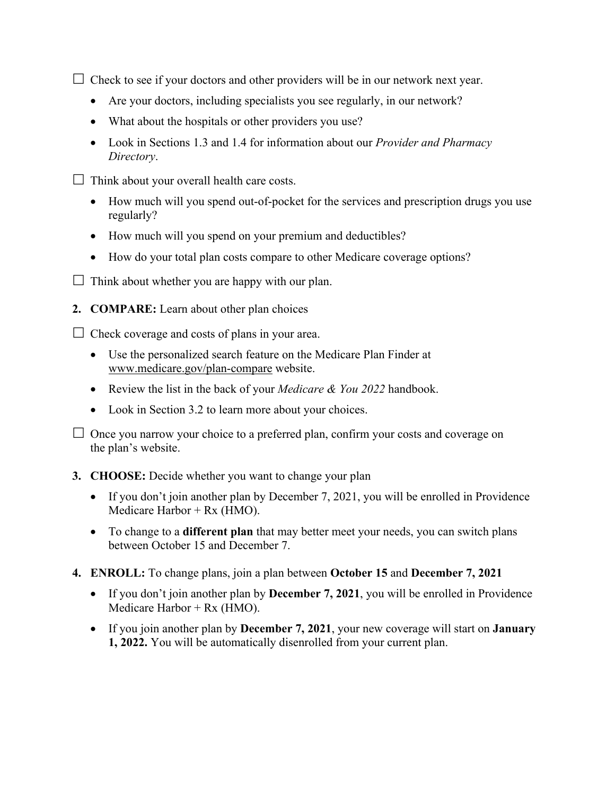$\Box$  Check to see if your doctors and other providers will be in our network next year.

- Are your doctors, including specialists you see regularly, in our network?
- What about the hospitals or other providers you use?
- Look in Sections 1.3 and 1.4 for information about our *Provider and Pharmacy Directory*.
- $\Box$  Think about your overall health care costs.
	- How much will you spend out-of-pocket for the services and prescription drugs you use regularly?
	- How much will you spend on your premium and deductibles?
	- How do your total plan costs compare to other Medicare coverage options?
- $\Box$  Think about whether you are happy with our plan.
- **2. COMPARE:** Learn about other plan choices

 $\Box$  Check coverage and costs of plans in your area.

- Use the personalized search feature on the Medicare Plan Finder at [www.medicare.gov/plan-compare](http://www.medicare.gov/plan-compare) website.
- Review the list in the back of your *Medicare & You 2022* handbook.
- Look in Section 3.2 to learn more about your choices.

 $\Box$  Once you narrow your choice to a preferred plan, confirm your costs and coverage on the plan's website.

#### **3. CHOOSE:** Decide whether you want to change your plan

- If you don't join another plan by December 7, 2021, you will be enrolled in Providence Medicare Harbor + Rx (HMO).
- To change to a **different plan** that may better meet your needs, you can switch plans between October 15 and December 7.
- **4. ENROLL:** To change plans, join a plan between **October 15** and **December 7, 2021** 
	- If you don't join another plan by **December 7, 2021**, you will be enrolled in Providence Medicare Harbor +  $Rx$  (HMO).
	- If you join another plan by **December 7, 2021**, your new coverage will start on **January 1, 2022.** You will be automatically disenrolled from your current plan.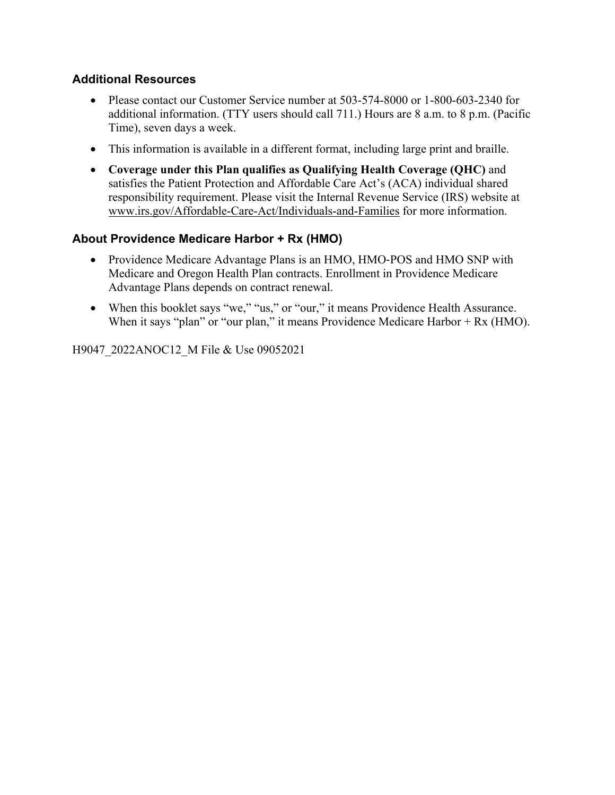### **Additional Resources**

- Please contact our Customer Service number at 503-574-8000 or 1-800-603-2340 for additional information. (TTY users should call 711.) Hours are 8 a.m. to 8 p.m. (Pacific Time), seven days a week.
- This information is available in a different format, including large print and braille.
- **Coverage under this Plan qualifies as Qualifying Health Coverage (QHC)** and satisfies the Patient Protection and Affordable Care Act's (ACA) individual shared responsibility requirement. Please visit the Internal Revenue Service (IRS) website at [www.irs.gov/Affordable-Care-Act/Individuals-and-Families](http://www.irs.gov/Affordable-Care-Act/Individuals-and-Families) for more information.

### **About Providence Medicare Harbor + Rx (HMO)**

- Providence Medicare Advantage Plans is an HMO, HMO-POS and HMO SNP with Medicare and Oregon Health Plan contracts. Enrollment in Providence Medicare Advantage Plans depends on contract renewal.
- When this booklet says "we," "us," or "our," it means Providence Health Assurance. When it says "plan" or "our plan," it means Providence Medicare Harbor + Rx (HMO).

H9047\_2022ANOC12\_M File & Use 09052021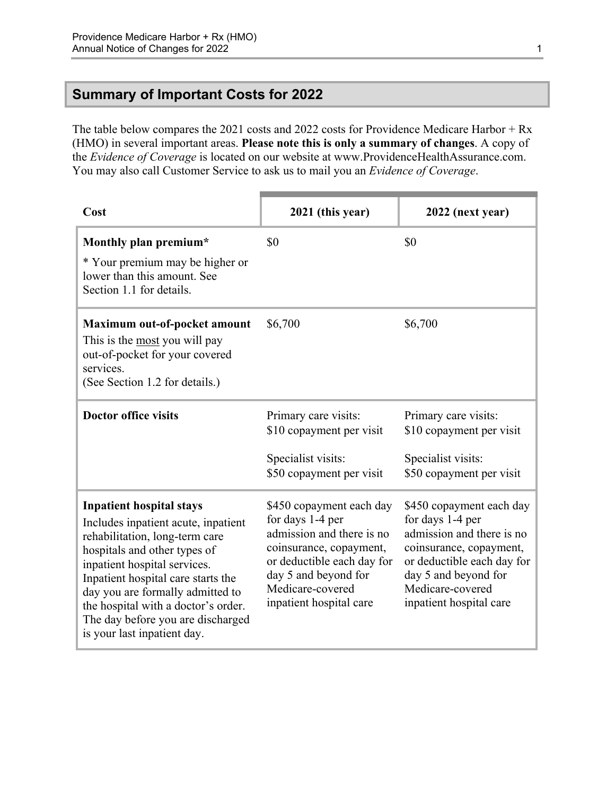### <span id="page-3-0"></span>**Summary of Important Costs for 2022**

The table below compares the 2021 costs and 2022 costs for Providence Medicare Harbor + Rx (HMO) in several important areas. **Please note this is only a summary of changes**. A copy of the *Evidence of Coverage* is located on our website at [www.ProvidenceHealthAssurance.com](http://www.ProvidenceHealthAssurance.com). You may also call Customer Service to ask us to mail you an *Evidence of Coverage*.

| Cost                                                                                                                                                                                                                                                                                                                                                          | 2021 (this year)                                                                                                                                                                                          | 2022 (next year)                                                                                                                                                                                          |
|---------------------------------------------------------------------------------------------------------------------------------------------------------------------------------------------------------------------------------------------------------------------------------------------------------------------------------------------------------------|-----------------------------------------------------------------------------------------------------------------------------------------------------------------------------------------------------------|-----------------------------------------------------------------------------------------------------------------------------------------------------------------------------------------------------------|
| Monthly plan premium*<br>* Your premium may be higher or<br>lower than this amount. See<br>Section 1.1 for details.                                                                                                                                                                                                                                           | \$0                                                                                                                                                                                                       | \$0                                                                                                                                                                                                       |
| Maximum out-of-pocket amount<br>This is the most you will pay<br>out-of-pocket for your covered<br>services.<br>(See Section 1.2 for details.)                                                                                                                                                                                                                | \$6,700                                                                                                                                                                                                   | \$6,700                                                                                                                                                                                                   |
| <b>Doctor office visits</b>                                                                                                                                                                                                                                                                                                                                   | Primary care visits:<br>\$10 copayment per visit<br>Specialist visits:<br>\$50 copayment per visit                                                                                                        | Primary care visits:<br>\$10 copayment per visit<br>Specialist visits:<br>\$50 copayment per visit                                                                                                        |
| <b>Inpatient hospital stays</b><br>Includes inpatient acute, inpatient<br>rehabilitation, long-term care<br>hospitals and other types of<br>inpatient hospital services.<br>Inpatient hospital care starts the<br>day you are formally admitted to<br>the hospital with a doctor's order.<br>The day before you are discharged<br>is your last inpatient day. | \$450 copayment each day<br>for days 1-4 per<br>admission and there is no<br>coinsurance, copayment,<br>or deductible each day for<br>day 5 and beyond for<br>Medicare-covered<br>inpatient hospital care | \$450 copayment each day<br>for days 1-4 per<br>admission and there is no<br>coinsurance, copayment,<br>or deductible each day for<br>day 5 and beyond for<br>Medicare-covered<br>inpatient hospital care |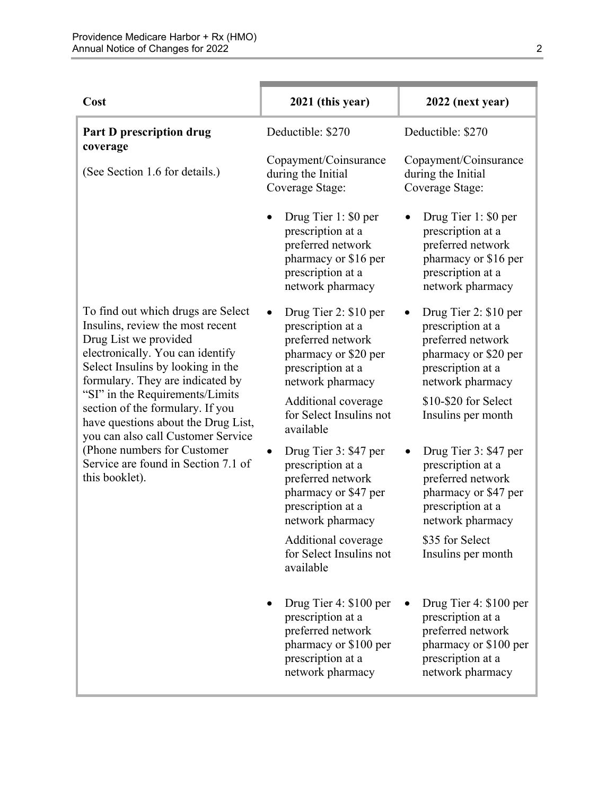| Cost                                                                                                                                                                                                         | 2021 (this year)                                                                                                                   | 2022 (next year)                                                                                                                   |
|--------------------------------------------------------------------------------------------------------------------------------------------------------------------------------------------------------------|------------------------------------------------------------------------------------------------------------------------------------|------------------------------------------------------------------------------------------------------------------------------------|
| Part D prescription drug<br>coverage                                                                                                                                                                         | Deductible: \$270                                                                                                                  | Deductible: \$270                                                                                                                  |
| (See Section 1.6 for details.)                                                                                                                                                                               | Copayment/Coinsurance<br>during the Initial<br>Coverage Stage:                                                                     | Copayment/Coinsurance<br>during the Initial<br>Coverage Stage:                                                                     |
|                                                                                                                                                                                                              | Drug Tier 1: \$0 per<br>prescription at a<br>preferred network<br>pharmacy or \$16 per<br>prescription at a<br>network pharmacy    | Drug Tier 1: \$0 per<br>prescription at a<br>preferred network<br>pharmacy or \$16 per<br>prescription at a<br>network pharmacy    |
| To find out which drugs are Select<br>Insulins, review the most recent<br>Drug List we provided<br>electronically. You can identify<br>Select Insulins by looking in the<br>formulary. They are indicated by | Drug Tier 2: \$10 per<br>prescription at a<br>preferred network<br>pharmacy or \$20 per<br>prescription at a<br>network pharmacy   | Drug Tier 2: \$10 per<br>prescription at a<br>preferred network<br>pharmacy or \$20 per<br>prescription at a<br>network pharmacy   |
| "SI" in the Requirements/Limits<br>section of the formulary. If you<br>have questions about the Drug List,<br>you can also call Customer Service                                                             | Additional coverage<br>for Select Insulins not<br>available                                                                        | \$10-\$20 for Select<br>Insulins per month                                                                                         |
| (Phone numbers for Customer)<br>Service are found in Section 7.1 of<br>this booklet).                                                                                                                        | Drug Tier 3: \$47 per<br>prescription at a<br>preferred network<br>pharmacy or \$47 per<br>prescription at a<br>network pharmacy   | Drug Tier 3: \$47 per<br>prescription at a<br>preferred network<br>pharmacy or \$47 per<br>prescription at a<br>network pharmacy   |
|                                                                                                                                                                                                              | Additional coverage<br>for Select Insulins not<br>available                                                                        | \$35 for Select<br>Insulins per month                                                                                              |
|                                                                                                                                                                                                              | Drug Tier 4: \$100 per<br>prescription at a<br>preferred network<br>pharmacy or \$100 per<br>prescription at a<br>network pharmacy | Drug Tier 4: \$100 per<br>prescription at a<br>preferred network<br>pharmacy or \$100 per<br>prescription at a<br>network pharmacy |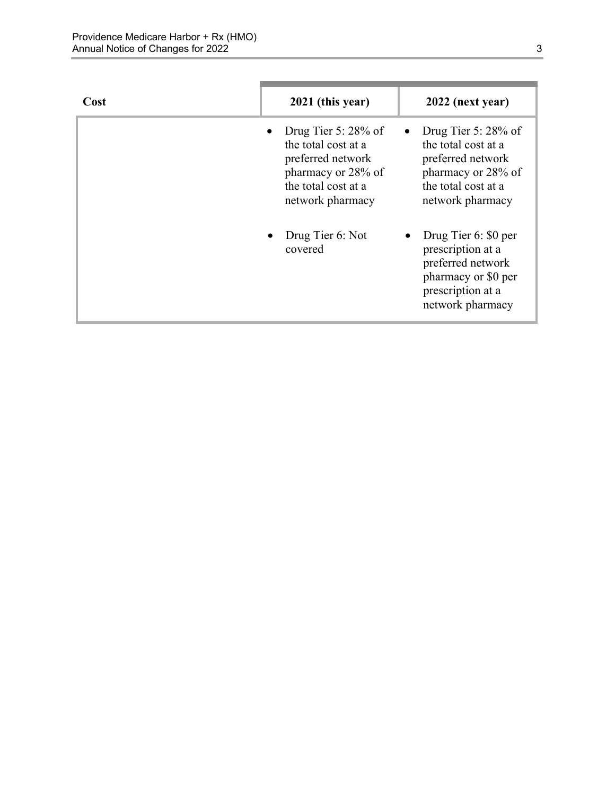| Cost | 2021 (this year)                                                                                                                    | 2022 (next year)                                                                                                                    |
|------|-------------------------------------------------------------------------------------------------------------------------------------|-------------------------------------------------------------------------------------------------------------------------------------|
|      | Drug Tier 5: $28\%$ of<br>the total cost at a<br>preferred network<br>pharmacy or 28% of<br>the total cost at a<br>network pharmacy | Drug Tier 5: $28\%$ of<br>the total cost at a<br>preferred network<br>pharmacy or 28% of<br>the total cost at a<br>network pharmacy |
|      | Drug Tier 6: Not<br>covered                                                                                                         | Drug Tier 6: \$0 per<br>prescription at a<br>preferred network<br>pharmacy or \$0 per<br>prescription at a<br>network pharmacy      |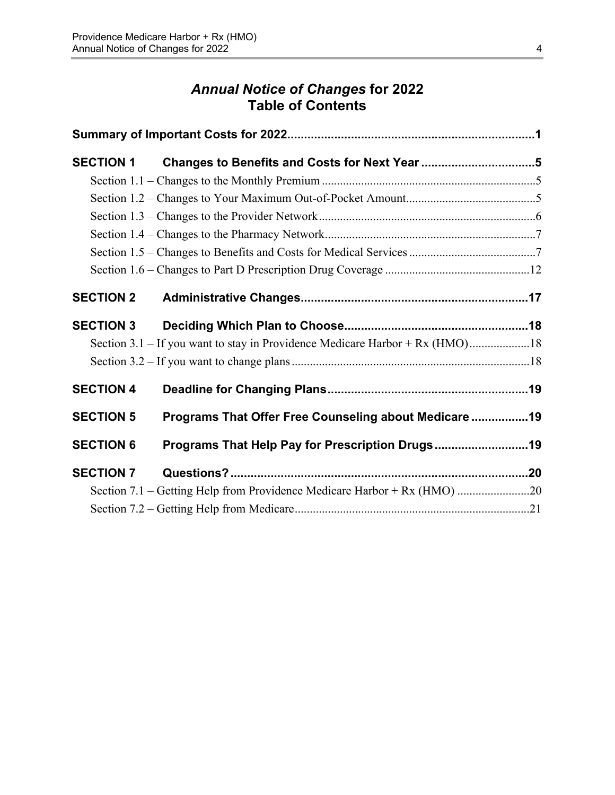# *Annual Notice of Changes* **for 2022 Table of Contents**

| <b>SECTION 1</b> |                                                                              |  |
|------------------|------------------------------------------------------------------------------|--|
|                  |                                                                              |  |
|                  |                                                                              |  |
|                  |                                                                              |  |
|                  |                                                                              |  |
|                  |                                                                              |  |
|                  |                                                                              |  |
| <b>SECTION 2</b> |                                                                              |  |
| <b>SECTION 3</b> |                                                                              |  |
|                  | Section 3.1 – If you want to stay in Providence Medicare Harbor + Rx (HMO)18 |  |
|                  |                                                                              |  |
| <b>SECTION 4</b> |                                                                              |  |
| <b>SECTION 5</b> | Programs That Offer Free Counseling about Medicare 19                        |  |
| <b>SECTION 6</b> | Programs That Help Pay for Prescription Drugs19                              |  |
| <b>SECTION 7</b> |                                                                              |  |
|                  |                                                                              |  |
|                  |                                                                              |  |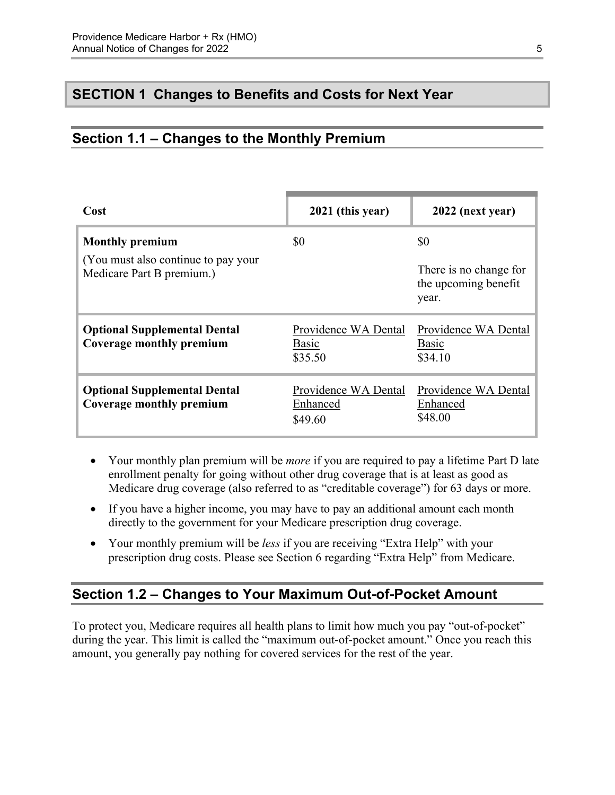# <span id="page-7-0"></span>**SECTION 1 Changes to Benefits and Costs for Next Year**

# <span id="page-7-1"></span>**Section 1.1 – Changes to the Monthly Premium**

| Cost                                                                                        | 2021 (this year)                                | 2022 (next year)                                               |
|---------------------------------------------------------------------------------------------|-------------------------------------------------|----------------------------------------------------------------|
| <b>Monthly premium</b><br>(You must also continue to pay your)<br>Medicare Part B premium.) | \$0                                             | \$0<br>There is no change for<br>the upcoming benefit<br>year. |
| <b>Optional Supplemental Dental</b><br>Coverage monthly premium                             | Providence WA Dental<br><b>Basic</b><br>\$35.50 | Providence WA Dental<br><b>Basic</b><br>\$34.10                |
| <b>Optional Supplemental Dental</b><br>Coverage monthly premium                             | Providence WA Dental<br>Enhanced<br>\$49.60     | Providence WA Dental<br>Enhanced<br>\$48.00                    |

- Your monthly plan premium will be *more* if you are required to pay a lifetime Part D late enrollment penalty for going without other drug coverage that is at least as good as Medicare drug coverage (also referred to as "creditable coverage") for 63 days or more.
- If you have a higher income, you may have to pay an additional amount each month directly to the government for your Medicare prescription drug coverage.
- Your monthly premium will be *less* if you are receiving "Extra Help" with your prescription drug costs. Please see Section 6 regarding "Extra Help" from Medicare.

### <span id="page-7-2"></span>**Section 1.2 – Changes to Your Maximum Out-of-Pocket Amount**

 amount, you generally pay nothing for covered services for the rest of the year. To protect you, Medicare requires all health plans to limit how much you pay "out-of-pocket" during the year. This limit is called the "maximum out-of-pocket amount." Once you reach this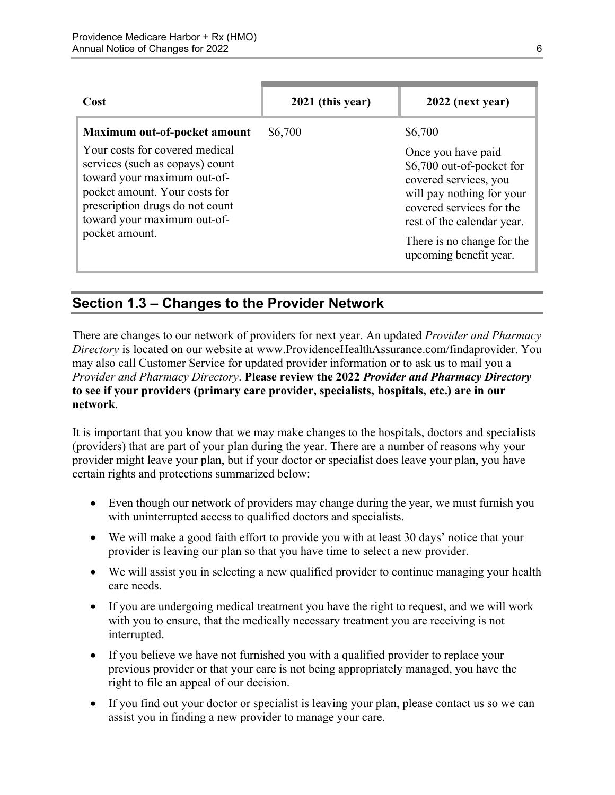| Cost                                                                                                                                                                                                                  | 2021 (this year) | 2022 (next year)                                                                                                                                                                                                        |
|-----------------------------------------------------------------------------------------------------------------------------------------------------------------------------------------------------------------------|------------------|-------------------------------------------------------------------------------------------------------------------------------------------------------------------------------------------------------------------------|
| Maximum out-of-pocket amount                                                                                                                                                                                          | \$6,700          | \$6,700                                                                                                                                                                                                                 |
| Your costs for covered medical<br>services (such as copays) count<br>toward your maximum out-of-<br>pocket amount. Your costs for<br>prescription drugs do not count<br>toward your maximum out-of-<br>pocket amount. |                  | Once you have paid<br>\$6,700 out-of-pocket for<br>covered services, you<br>will pay nothing for your<br>covered services for the<br>rest of the calendar year.<br>There is no change for the<br>upcoming benefit year. |

# <span id="page-8-0"></span>**Section 1.3 – Changes to the Provider Network**

 **to see if your providers (primary care provider, specialists, hospitals, etc.) are in our**  There are changes to our network of providers for next year. An updated *Provider and Pharmacy Directory* is located on our website at [www.ProvidenceHealthAssurance.com/findaprovider.](http://www.ProvidenceHealthAssurance.com/findaprovider) You may also call Customer Service for updated provider information or to ask us to mail you a *Provider and Pharmacy Directory*. **Please review the 2022** *Provider and Pharmacy Directory*  **network**.

It is important that you know that we may make changes to the hospitals, doctors and specialists (providers) that are part of your plan during the year. There are a number of reasons why your provider might leave your plan, but if your doctor or specialist does leave your plan, you have certain rights and protections summarized below:

- Even though our network of providers may change during the year, we must furnish you with uninterrupted access to qualified doctors and specialists.
- We will make a good faith effort to provide you with at least 30 days' notice that your provider is leaving our plan so that you have time to select a new provider.
- We will assist you in selecting a new qualified provider to continue managing your health care needs.
- If you are undergoing medical treatment you have the right to request, and we will work with you to ensure, that the medically necessary treatment you are receiving is not interrupted.
- If you believe we have not furnished you with a qualified provider to replace your previous provider or that your care is not being appropriately managed, you have the right to file an appeal of our decision.
- If you find out your doctor or specialist is leaving your plan, please contact us so we can assist you in finding a new provider to manage your care.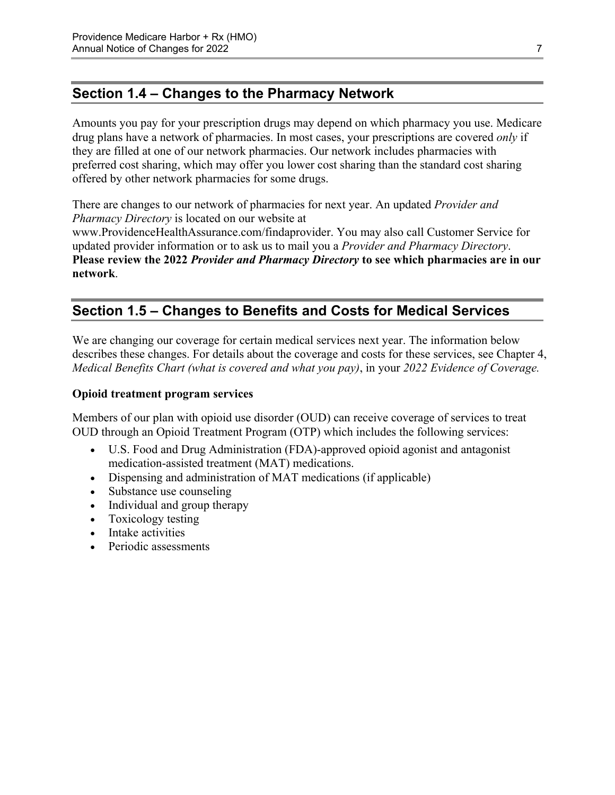# <span id="page-9-0"></span>**Section 1.4 – Changes to the Pharmacy Network**

Amounts you pay for your prescription drugs may depend on which pharmacy you use. Medicare drug plans have a network of pharmacies. In most cases, your prescriptions are covered *only* if they are filled at one of our network pharmacies. Our network includes pharmacies with preferred cost sharing, which may offer you lower cost sharing than the standard cost sharing offered by other network pharmacies for some drugs.

There are changes to our network of pharmacies for next year. An updated *Provider and Pharmacy Directory* is located on our website at [www.ProvidenceHealthAssurance.com/findaprovider](http://www.ProvidenceHealthAssurance.com/findaprovider). You may also call Customer Service for updated provider information or to ask us to mail you a *Provider and Pharmacy Directory*. **Please review the 2022** *Provider and Pharmacy Directory* **to see which pharmacies are in our** 

<span id="page-9-1"></span>**network**.

# **Section 1.5 – Changes to Benefits and Costs for Medical Services**

We are changing our coverage for certain medical services next year. The information below describes these changes. For details about the coverage and costs for these services, see Chapter 4, *Medical Benefits Chart (what is covered and what you pay)*, in your *2022 Evidence of Coverage.* 

#### **Opioid treatment program services**

Members of our plan with opioid use disorder (OUD) can receive coverage of services to treat OUD through an Opioid Treatment Program (OTP) which includes the following services:

- U.S. Food and Drug Administration (FDA)-approved opioid agonist and antagonist medication-assisted treatment (MAT) medications.
- Dispensing and administration of MAT medications (if applicable)
- Substance use counseling
- Individual and group therapy
- Toxicology testing
- Intake activities
- Periodic assessments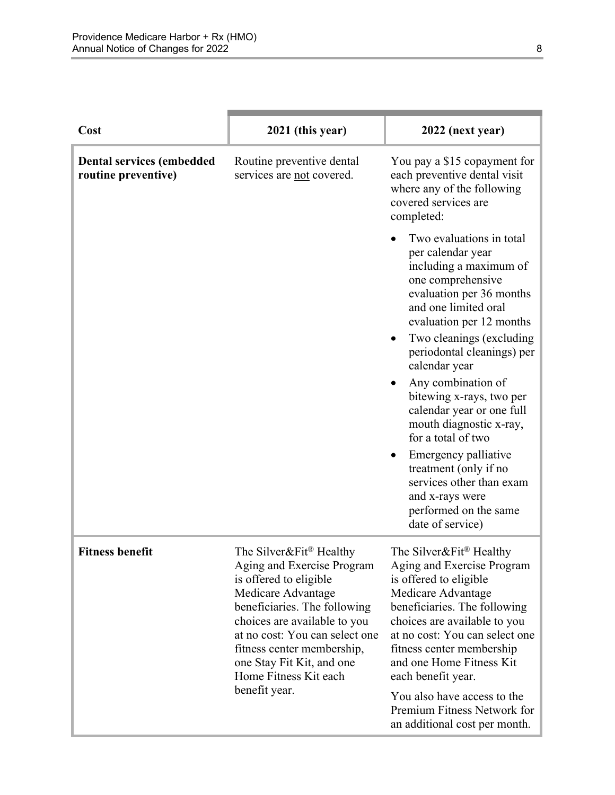| Cost                                                    | 2021 (this year)                                                                                                                                                                                                                                                                                             | 2022 (next year)                                                                                                                                                                                                                                                                                                                                                                                                                                                                                                                     |
|---------------------------------------------------------|--------------------------------------------------------------------------------------------------------------------------------------------------------------------------------------------------------------------------------------------------------------------------------------------------------------|--------------------------------------------------------------------------------------------------------------------------------------------------------------------------------------------------------------------------------------------------------------------------------------------------------------------------------------------------------------------------------------------------------------------------------------------------------------------------------------------------------------------------------------|
| <b>Dental services (embedded</b><br>routine preventive) | Routine preventive dental<br>services are not covered.                                                                                                                                                                                                                                                       | You pay a \$15 copayment for<br>each preventive dental visit<br>where any of the following<br>covered services are<br>completed:                                                                                                                                                                                                                                                                                                                                                                                                     |
|                                                         |                                                                                                                                                                                                                                                                                                              | Two evaluations in total<br>per calendar year<br>including a maximum of<br>one comprehensive<br>evaluation per 36 months<br>and one limited oral<br>evaluation per 12 months<br>Two cleanings (excluding<br>periodontal cleanings) per<br>calendar year<br>Any combination of<br>bitewing x-rays, two per<br>calendar year or one full<br>mouth diagnostic x-ray,<br>for a total of two<br>Emergency palliative<br>treatment (only if no<br>services other than exam<br>and x-rays were<br>performed on the same<br>date of service) |
| <b>Fitness benefit</b>                                  | The Silver&Fit® Healthy<br>Aging and Exercise Program<br>is offered to eligible<br>Medicare Advantage<br>beneficiaries. The following<br>choices are available to you<br>at no cost: You can select one<br>fitness center membership,<br>one Stay Fit Kit, and one<br>Home Fitness Kit each<br>benefit year. | The Silver&Fit® Healthy<br>Aging and Exercise Program<br>is offered to eligible<br>Medicare Advantage<br>beneficiaries. The following<br>choices are available to you<br>at no cost: You can select one<br>fitness center membership<br>and one Home Fitness Kit<br>each benefit year.<br>You also have access to the<br>Premium Fitness Network for<br>an additional cost per month.                                                                                                                                                |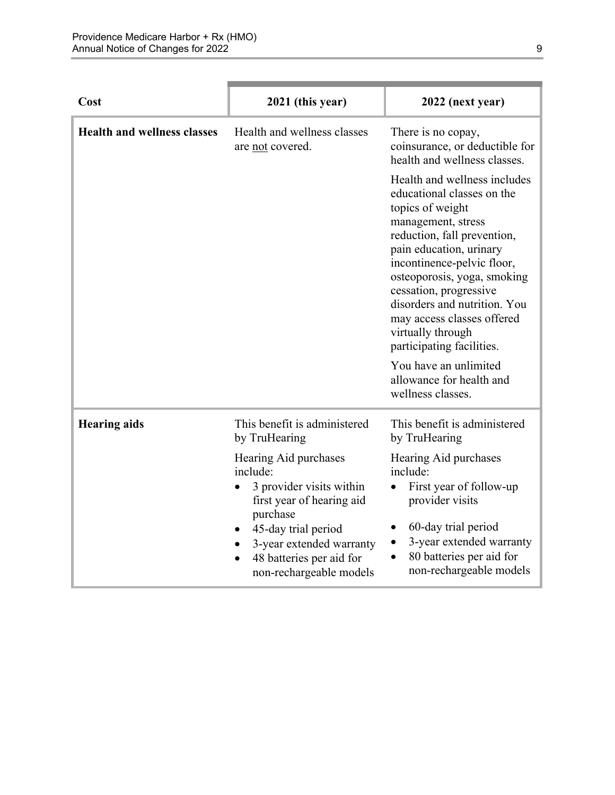| Cost                               | 2021 (this year)                                                                                                                                                                                                              | 2022 (next year)                                                                                                                                                                                                                                                                                                                                                      |
|------------------------------------|-------------------------------------------------------------------------------------------------------------------------------------------------------------------------------------------------------------------------------|-----------------------------------------------------------------------------------------------------------------------------------------------------------------------------------------------------------------------------------------------------------------------------------------------------------------------------------------------------------------------|
| <b>Health and wellness classes</b> | Health and wellness classes<br>are not covered.                                                                                                                                                                               | There is no copay,<br>coinsurance, or deductible for<br>health and wellness classes.                                                                                                                                                                                                                                                                                  |
|                                    |                                                                                                                                                                                                                               | Health and wellness includes<br>educational classes on the<br>topics of weight<br>management, stress<br>reduction, fall prevention,<br>pain education, urinary<br>incontinence-pelvic floor,<br>osteoporosis, yoga, smoking<br>cessation, progressive<br>disorders and nutrition. You<br>may access classes offered<br>virtually through<br>participating facilities. |
|                                    |                                                                                                                                                                                                                               | You have an unlimited<br>allowance for health and<br>wellness classes.                                                                                                                                                                                                                                                                                                |
| <b>Hearing aids</b>                | This benefit is administered<br>by TruHearing                                                                                                                                                                                 | This benefit is administered<br>by TruHearing                                                                                                                                                                                                                                                                                                                         |
|                                    | Hearing Aid purchases<br>include:<br>3 provider visits within<br>$\bullet$<br>first year of hearing aid<br>purchase<br>45-day trial period<br>3-year extended warranty<br>48 batteries per aid for<br>non-rechargeable models | Hearing Aid purchases<br>include:<br>First year of follow-up<br>provider visits<br>60-day trial period<br>3-year extended warranty<br>80 batteries per aid for<br>non-rechargeable models                                                                                                                                                                             |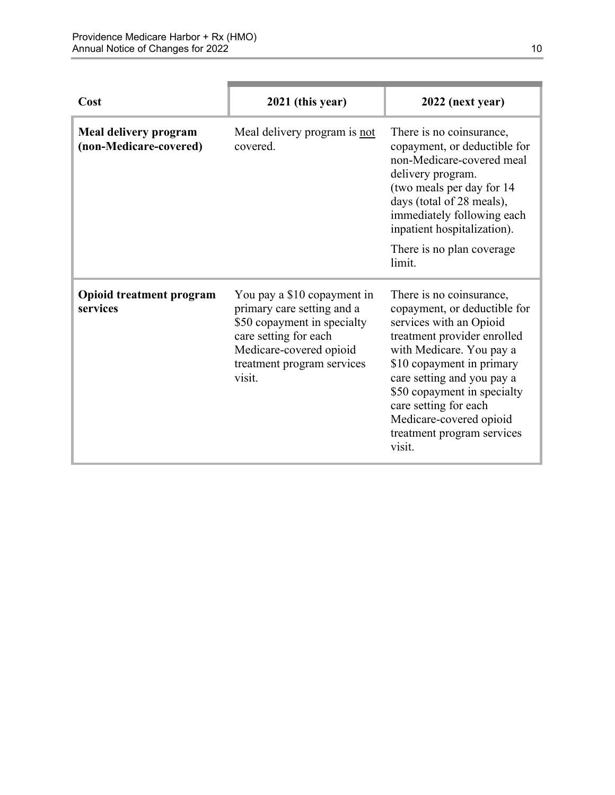| Cost                                            | 2021 (this year)                                                                                                                                                                     | 2022 (next year)                                                                                                                                                                                                                                                                                                                     |
|-------------------------------------------------|--------------------------------------------------------------------------------------------------------------------------------------------------------------------------------------|--------------------------------------------------------------------------------------------------------------------------------------------------------------------------------------------------------------------------------------------------------------------------------------------------------------------------------------|
| Meal delivery program<br>(non-Medicare-covered) | Meal delivery program is not<br>covered.                                                                                                                                             | There is no coinsurance,<br>copayment, or deductible for<br>non-Medicare-covered meal<br>delivery program.<br>(two meals per day for 14<br>days (total of 28 meals),<br>immediately following each<br>inpatient hospitalization).<br>There is no plan coverage.                                                                      |
|                                                 |                                                                                                                                                                                      | limit.                                                                                                                                                                                                                                                                                                                               |
| <b>Opioid treatment program</b><br>services     | You pay a \$10 copayment in<br>primary care setting and a<br>\$50 copayment in specialty<br>care setting for each<br>Medicare-covered opioid<br>treatment program services<br>visit. | There is no coinsurance,<br>copayment, or deductible for<br>services with an Opioid<br>treatment provider enrolled<br>with Medicare. You pay a<br>\$10 copayment in primary<br>care setting and you pay a<br>\$50 copayment in specialty<br>care setting for each<br>Medicare-covered opioid<br>treatment program services<br>visit. |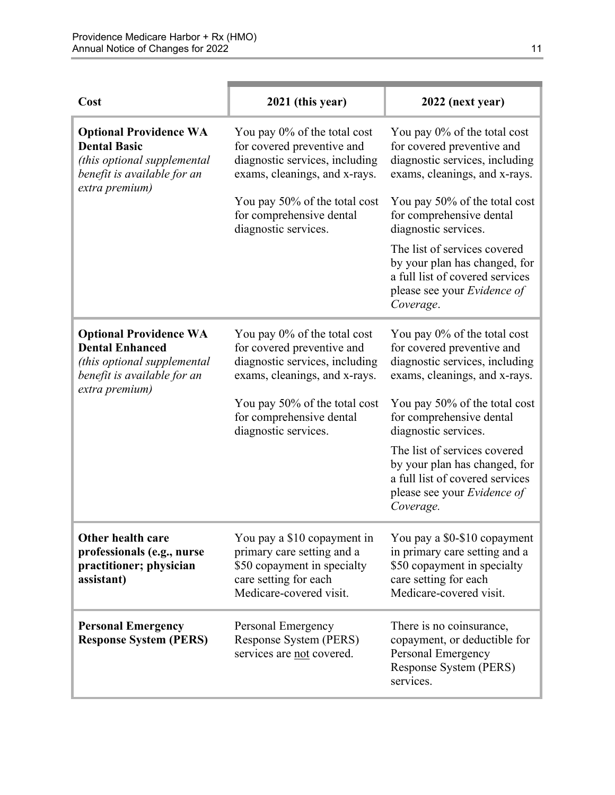| Cost                                                                                                                                    | 2021 (this year)                                                                                                                             | 2022 (next year)                                                                                                                                 |
|-----------------------------------------------------------------------------------------------------------------------------------------|----------------------------------------------------------------------------------------------------------------------------------------------|--------------------------------------------------------------------------------------------------------------------------------------------------|
| <b>Optional Providence WA</b><br><b>Dental Basic</b><br>(this optional supplemental<br>benefit is available for an<br>extra premium)    | You pay 0% of the total cost<br>for covered preventive and<br>diagnostic services, including<br>exams, cleanings, and x-rays.                | You pay 0% of the total cost<br>for covered preventive and<br>diagnostic services, including<br>exams, cleanings, and x-rays.                    |
|                                                                                                                                         | You pay 50% of the total cost<br>for comprehensive dental<br>diagnostic services.                                                            | You pay 50% of the total cost<br>for comprehensive dental<br>diagnostic services.                                                                |
|                                                                                                                                         |                                                                                                                                              | The list of services covered<br>by your plan has changed, for<br>a full list of covered services<br>please see your Evidence of<br>Coverage.     |
| <b>Optional Providence WA</b><br><b>Dental Enhanced</b><br>(this optional supplemental<br>benefit is available for an<br>extra premium) | You pay 0% of the total cost<br>for covered preventive and<br>diagnostic services, including<br>exams, cleanings, and x-rays.                | You pay 0% of the total cost<br>for covered preventive and<br>diagnostic services, including<br>exams, cleanings, and x-rays.                    |
|                                                                                                                                         | You pay 50% of the total cost<br>for comprehensive dental<br>diagnostic services.                                                            | You pay 50% of the total cost<br>for comprehensive dental<br>diagnostic services.                                                                |
|                                                                                                                                         |                                                                                                                                              | The list of services covered<br>by your plan has changed, for<br>a full list of covered services<br>please see your Evidence of<br>Coverage.     |
| Other health care<br>professionals (e.g., nurse<br>practitioner; physician<br>assistant)                                                | You pay a \$10 copayment in<br>primary care setting and a<br>\$50 copayment in specialty<br>care setting for each<br>Medicare-covered visit. | You pay a \$0-\$10 copayment<br>in primary care setting and a<br>\$50 copayment in specialty<br>care setting for each<br>Medicare-covered visit. |
| <b>Personal Emergency</b><br><b>Response System (PERS)</b>                                                                              | Personal Emergency<br>Response System (PERS)<br>services are not covered.                                                                    | There is no coinsurance,<br>copayment, or deductible for<br>Personal Emergency<br>Response System (PERS)<br>services.                            |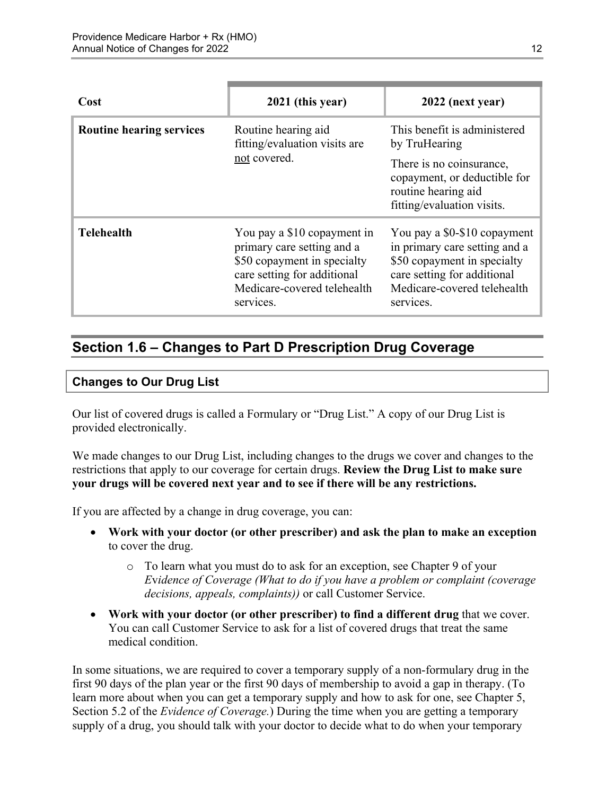| Cost                            | 2021 (this year)                                                                                                                                                    | 2022 (next year)                                                                                                                                                        |
|---------------------------------|---------------------------------------------------------------------------------------------------------------------------------------------------------------------|-------------------------------------------------------------------------------------------------------------------------------------------------------------------------|
| <b>Routine hearing services</b> | Routine hearing aid<br>fitting/evaluation visits are<br>not covered.                                                                                                | This benefit is administered<br>by TruHearing                                                                                                                           |
|                                 |                                                                                                                                                                     | There is no coinsurance,<br>copayment, or deductible for<br>routine hearing aid<br>fitting/evaluation visits.                                                           |
| <b>Telehealth</b>               | You pay a \$10 copayment in<br>primary care setting and a<br>\$50 copayment in specialty<br>care setting for additional<br>Medicare-covered telehealth<br>services. | You pay a \$0-\$10 copayment<br>in primary care setting and a<br>\$50 copayment in specialty<br>care setting for additional<br>Medicare-covered telehealth<br>services. |

# <span id="page-14-0"></span>**Section 1.6 – Changes to Part D Prescription Drug Coverage**

#### **Changes to Our Drug List**

Our list of covered drugs is called a Formulary or "Drug List." A copy of our Drug List is provided electronically.

We made changes to our Drug List, including changes to the drugs we cover and changes to the restrictions that apply to our coverage for certain drugs. **Review the Drug List to make sure your drugs will be covered next year and to see if there will be any restrictions.** 

If you are affected by a change in drug coverage, you can:

- **Work with your doctor (or other prescriber) and ask the plan to make an exception**  to cover the drug.
	- o To learn what you must do to ask for an exception, see Chapter 9 of your *E*v*idence of Coverage (What to do if you have a problem or complaint (coverage decisions, appeals, complaints))* or call Customer Service.
- **Work with your doctor (or other prescriber) to find a different drug** that we cover. You can call Customer Service to ask for a list of covered drugs that treat the same medical condition.

 Section 5.2 of the *Evidence of Coverage.*) During the time when you are getting a temporary In some situations, we are required to cover a temporary supply of a non-formulary drug in the first 90 days of the plan year or the first 90 days of membership to avoid a gap in therapy. (To learn more about when you can get a temporary supply and how to ask for one, see Chapter 5, supply of a drug, you should talk with your doctor to decide what to do when your temporary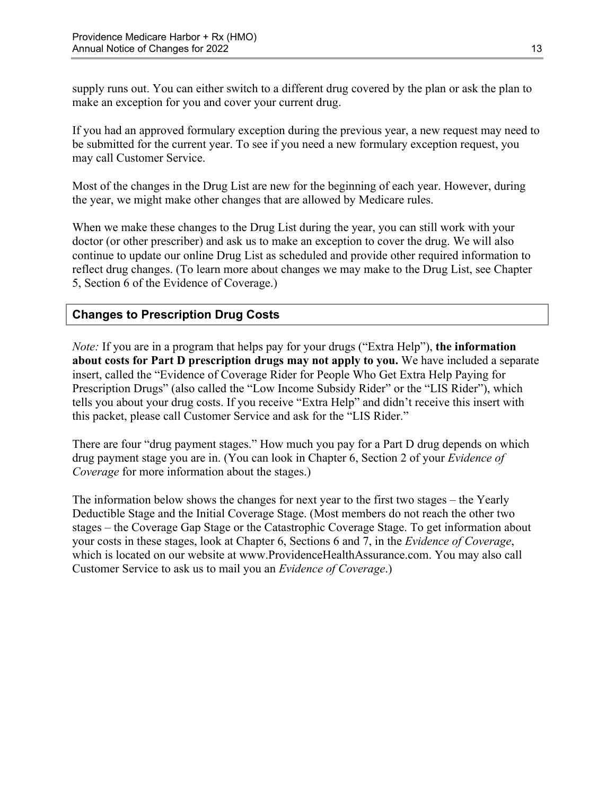supply runs out. You can either switch to a different drug covered by the plan or ask the plan to make an exception for you and cover your current drug.

If you had an approved formulary exception during the previous year, a new request may need to be submitted for the current year. To see if you need a new formulary exception request, you may call Customer Service.

Most of the changes in the Drug List are new for the beginning of each year. However, during the year, we might make other changes that are allowed by Medicare rules.

When we make these changes to the Drug List during the year, you can still work with your doctor (or other prescriber) and ask us to make an exception to cover the drug. We will also continue to update our online Drug List as scheduled and provide other required information to reflect drug changes. (To learn more about changes we may make to the Drug List, see Chapter 5, Section 6 of the Evidence of Coverage.)

### **Changes to Prescription Drug Costs**

*Note:* If you are in a program that helps pay for your drugs ("Extra Help"), **the information about costs for Part D prescription drugs may not apply to you.** We have included a separate insert, called the "Evidence of Coverage Rider for People Who Get Extra Help Paying for Prescription Drugs" (also called the "Low Income Subsidy Rider" or the "LIS Rider"), which tells you about your drug costs. If you receive "Extra Help" and didn't receive this insert with this packet, please call Customer Service and ask for the "LIS Rider."

There are four "drug payment stages." How much you pay for a Part D drug depends on which drug payment stage you are in. (You can look in Chapter 6, Section 2 of your *Evidence of Coverage* for more information about the stages.)

The information below shows the changes for next year to the first two stages – the Yearly Deductible Stage and the Initial Coverage Stage. (Most members do not reach the other two stages – the Coverage Gap Stage or the Catastrophic Coverage Stage. To get information about your costs in these stages, look at Chapter 6, Sections 6 and 7, in the *Evidence of Coverage*, which is located on our website at [www.ProvidenceHealthAssurance.com.](http://www.ProvidenceHealthAssurance.com) You may also call Customer Service to ask us to mail you an *Evidence of Coverage*.)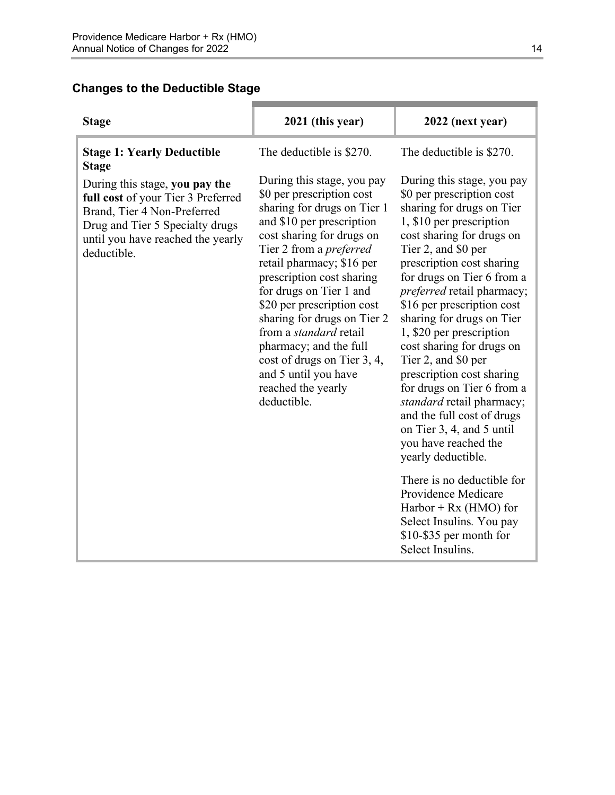### **Changes to the Deductible Stage**

| <b>Stage</b>                                                                                                                                                                               | 2021 (this year)                                                                                                                                                                                                                                                                                                                                                                                                                                                                            | 2022 (next year)                                                                                                                                                                                                                                                                                                                                                                                                                                                                                                                                                                                                                        |
|--------------------------------------------------------------------------------------------------------------------------------------------------------------------------------------------|---------------------------------------------------------------------------------------------------------------------------------------------------------------------------------------------------------------------------------------------------------------------------------------------------------------------------------------------------------------------------------------------------------------------------------------------------------------------------------------------|-----------------------------------------------------------------------------------------------------------------------------------------------------------------------------------------------------------------------------------------------------------------------------------------------------------------------------------------------------------------------------------------------------------------------------------------------------------------------------------------------------------------------------------------------------------------------------------------------------------------------------------------|
| <b>Stage 1: Yearly Deductible</b><br><b>Stage</b>                                                                                                                                          | The deductible is \$270.                                                                                                                                                                                                                                                                                                                                                                                                                                                                    | The deductible is \$270.                                                                                                                                                                                                                                                                                                                                                                                                                                                                                                                                                                                                                |
| During this stage, you pay the<br>full cost of your Tier 3 Preferred<br>Brand, Tier 4 Non-Preferred<br>Drug and Tier 5 Specialty drugs<br>until you have reached the yearly<br>deductible. | During this stage, you pay<br>\$0 per prescription cost<br>sharing for drugs on Tier 1<br>and \$10 per prescription<br>cost sharing for drugs on<br>Tier 2 from a <i>preferred</i><br>retail pharmacy; \$16 per<br>prescription cost sharing<br>for drugs on Tier 1 and<br>\$20 per prescription cost<br>sharing for drugs on Tier 2<br>from a <i>standard</i> retail<br>pharmacy; and the full<br>cost of drugs on Tier 3, 4,<br>and 5 until you have<br>reached the yearly<br>deductible. | During this stage, you pay<br>\$0 per prescription cost<br>sharing for drugs on Tier<br>1, \$10 per prescription<br>cost sharing for drugs on<br>Tier 2, and \$0 per<br>prescription cost sharing<br>for drugs on Tier 6 from a<br>preferred retail pharmacy;<br>\$16 per prescription cost<br>sharing for drugs on Tier<br>1, \$20 per prescription<br>cost sharing for drugs on<br>Tier 2, and \$0 per<br>prescription cost sharing<br>for drugs on Tier 6 from a<br>standard retail pharmacy;<br>and the full cost of drugs<br>on Tier 3, 4, and 5 until<br>you have reached the<br>yearly deductible.<br>There is no deductible for |
|                                                                                                                                                                                            |                                                                                                                                                                                                                                                                                                                                                                                                                                                                                             | Providence Medicare<br>$Harbor + Rx (HMO) for$<br>Select Insulins. You pay<br>\$10-\$35 per month for<br>Select Insulins.                                                                                                                                                                                                                                                                                                                                                                                                                                                                                                               |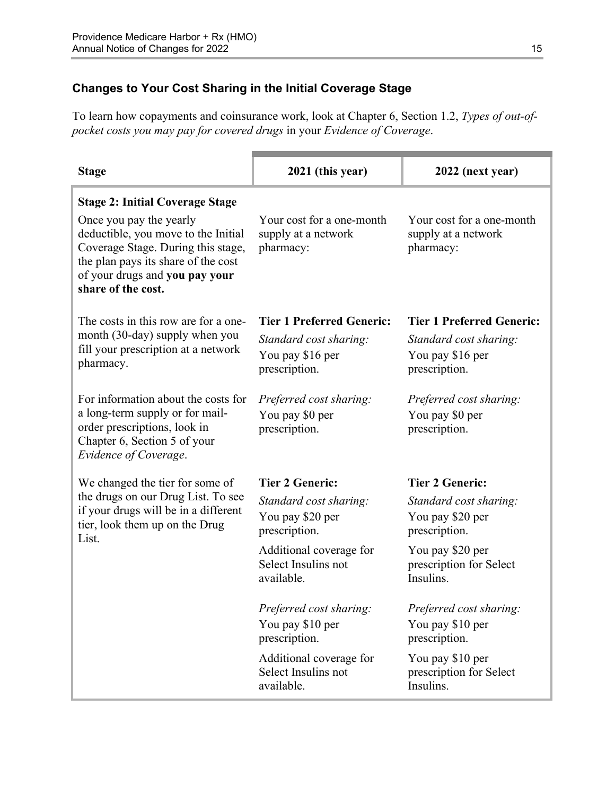### **Changes to Your Cost Sharing in the Initial Coverage Stage**

To learn how copayments and coinsurance work, look at Chapter 6, Section 1.2, *Types of out-ofpocket costs you may pay for covered drugs* in your *Evidence of Coverage*.

| <b>Stage</b>                                                                                                                                                                                        | 2021 (this year)                                                                                                                   | 2022 (next year)                                                                                                                    |
|-----------------------------------------------------------------------------------------------------------------------------------------------------------------------------------------------------|------------------------------------------------------------------------------------------------------------------------------------|-------------------------------------------------------------------------------------------------------------------------------------|
| <b>Stage 2: Initial Coverage Stage</b>                                                                                                                                                              |                                                                                                                                    |                                                                                                                                     |
| Once you pay the yearly<br>deductible, you move to the Initial<br>Coverage Stage. During this stage,<br>the plan pays its share of the cost<br>of your drugs and you pay your<br>share of the cost. | Your cost for a one-month<br>supply at a network<br>pharmacy:                                                                      | Your cost for a one-month<br>supply at a network<br>pharmacy:                                                                       |
| The costs in this row are for a one-<br>month (30-day) supply when you<br>fill your prescription at a network<br>pharmacy.                                                                          | <b>Tier 1 Preferred Generic:</b>                                                                                                   | <b>Tier 1 Preferred Generic:</b>                                                                                                    |
|                                                                                                                                                                                                     | Standard cost sharing:                                                                                                             | Standard cost sharing:                                                                                                              |
|                                                                                                                                                                                                     | You pay \$16 per                                                                                                                   | You pay \$16 per                                                                                                                    |
|                                                                                                                                                                                                     | prescription.                                                                                                                      | prescription.                                                                                                                       |
| For information about the costs for                                                                                                                                                                 | Preferred cost sharing:                                                                                                            | Preferred cost sharing:                                                                                                             |
| a long-term supply or for mail-                                                                                                                                                                     | You pay \$0 per                                                                                                                    | You pay \$0 per                                                                                                                     |
| Chapter 6, Section 5 of your<br>Evidence of Coverage.                                                                                                                                               |                                                                                                                                    |                                                                                                                                     |
| We changed the tier for some of                                                                                                                                                                     | <b>Tier 2 Generic:</b>                                                                                                             | <b>Tier 2 Generic:</b>                                                                                                              |
| the drugs on our Drug List. To see                                                                                                                                                                  | Standard cost sharing:                                                                                                             | Standard cost sharing:                                                                                                              |
| tier, look them up on the Drug<br>List.                                                                                                                                                             | You pay \$20 per                                                                                                                   | You pay \$20 per                                                                                                                    |
|                                                                                                                                                                                                     |                                                                                                                                    |                                                                                                                                     |
|                                                                                                                                                                                                     |                                                                                                                                    |                                                                                                                                     |
|                                                                                                                                                                                                     | available.                                                                                                                         | Insulins.                                                                                                                           |
|                                                                                                                                                                                                     |                                                                                                                                    |                                                                                                                                     |
|                                                                                                                                                                                                     | You pay \$10 per                                                                                                                   | You pay \$10 per                                                                                                                    |
|                                                                                                                                                                                                     | prescription.                                                                                                                      | prescription.                                                                                                                       |
|                                                                                                                                                                                                     | Additional coverage for                                                                                                            | You pay \$10 per                                                                                                                    |
|                                                                                                                                                                                                     | available.                                                                                                                         | Insulins.                                                                                                                           |
| order prescriptions, look in<br>if your drugs will be in a different                                                                                                                                | prescription.<br>prescription.<br>Additional coverage for<br>Select Insulins not<br>Preferred cost sharing:<br>Select Insulins not | prescription.<br>prescription.<br>You pay \$20 per<br>prescription for Select<br>Preferred cost sharing:<br>prescription for Select |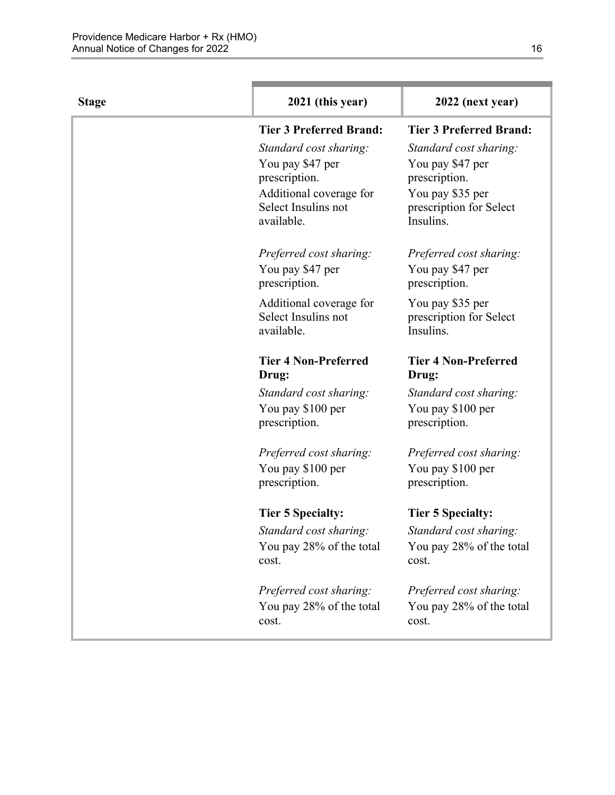| <b>Stage</b> | 2021 (this year)                  | 2022 (next year)                     |
|--------------|-----------------------------------|--------------------------------------|
|              | <b>Tier 3 Preferred Brand:</b>    | <b>Tier 3 Preferred Brand:</b>       |
|              | Standard cost sharing:            | Standard cost sharing:               |
|              | You pay \$47 per                  | You pay \$47 per                     |
|              | prescription.                     | prescription.                        |
|              | Additional coverage for           | You pay \$35 per                     |
|              | Select Insulins not<br>available. | prescription for Select<br>Insulins. |
|              |                                   |                                      |
|              | Preferred cost sharing:           | Preferred cost sharing:              |
|              | You pay \$47 per                  | You pay \$47 per                     |
|              | prescription.                     | prescription.                        |
|              | Additional coverage for           | You pay \$35 per                     |
|              | Select Insulins not               | prescription for Select              |
|              | available.                        | Insulins.                            |
|              | <b>Tier 4 Non-Preferred</b>       | <b>Tier 4 Non-Preferred</b>          |
|              | Drug:                             | Drug:                                |
|              | Standard cost sharing:            | Standard cost sharing:               |
|              | You pay \$100 per                 | You pay \$100 per                    |
|              | prescription.                     | prescription.                        |
|              | Preferred cost sharing:           | Preferred cost sharing:              |
|              | You pay \$100 per                 | You pay \$100 per                    |
|              | prescription.                     | prescription.                        |
|              | <b>Tier 5 Specialty:</b>          | <b>Tier 5 Specialty:</b>             |
|              | Standard cost sharing:            | Standard cost sharing:               |
|              | You pay 28% of the total          | You pay 28% of the total             |
|              | cost.                             | cost.                                |
|              | Preferred cost sharing:           | Preferred cost sharing:              |
|              | You pay 28% of the total          | You pay 28% of the total             |
|              | cost.                             | cost.                                |
|              |                                   |                                      |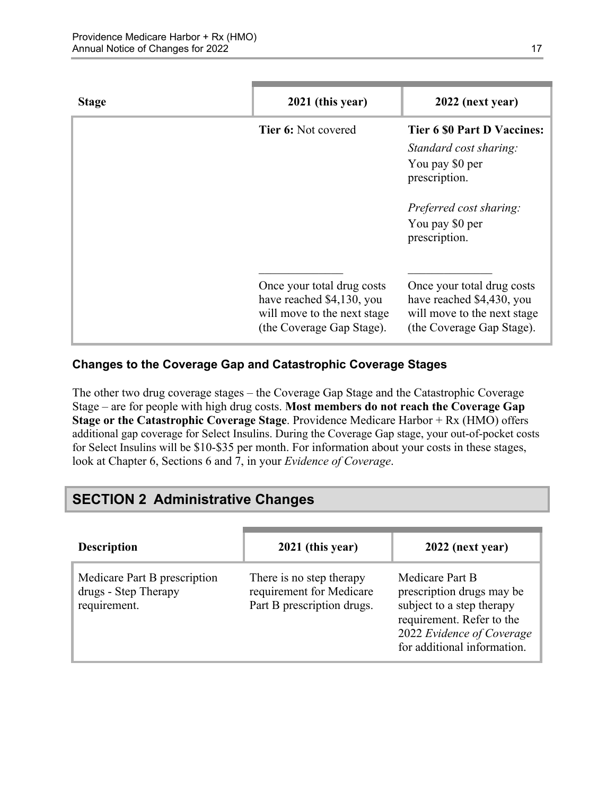| <b>Stage</b> | 2021 (this year)                                                                                                    | 2022 (next year)                                                                                                                                                |
|--------------|---------------------------------------------------------------------------------------------------------------------|-----------------------------------------------------------------------------------------------------------------------------------------------------------------|
|              | <b>Tier 6: Not covered</b>                                                                                          | <b>Tier 6 \$0 Part D Vaccines:</b><br>Standard cost sharing:<br>You pay \$0 per<br>prescription.<br>Preferred cost sharing:<br>You pay \$0 per<br>prescription. |
|              | Once your total drug costs<br>have reached \$4,130, you<br>will move to the next stage<br>(the Coverage Gap Stage). | Once your total drug costs<br>have reached \$4,430, you<br>will move to the next stage<br>(the Coverage Gap Stage).                                             |

### **Changes to the Coverage Gap and Catastrophic Coverage Stages**

The other two drug coverage stages – the Coverage Gap Stage and the Catastrophic Coverage Stage – are for people with high drug costs. **Most members do not reach the Coverage Gap Stage or the Catastrophic Coverage Stage**. Providence Medicare Harbor + Rx (HMO) offers additional gap coverage for Select Insulins. During the Coverage Gap stage, your out-of-pocket costs for Select Insulins will be \$10-\$35 per month. For information about your costs in these stages, look at Chapter 6, Sections 6 and 7, in your *Evidence of Coverage*.

# <span id="page-19-0"></span>**SECTION 2 Administrative Changes**

| <b>Description</b>                                                   | 2021 (this year)                                                                   | 2022 (next year)                                                                                                                                                   |
|----------------------------------------------------------------------|------------------------------------------------------------------------------------|--------------------------------------------------------------------------------------------------------------------------------------------------------------------|
| Medicare Part B prescription<br>drugs - Step Therapy<br>requirement. | There is no step therapy<br>requirement for Medicare<br>Part B prescription drugs. | Medicare Part B<br>prescription drugs may be<br>subject to a step therapy<br>requirement. Refer to the<br>2022 Evidence of Coverage<br>for additional information. |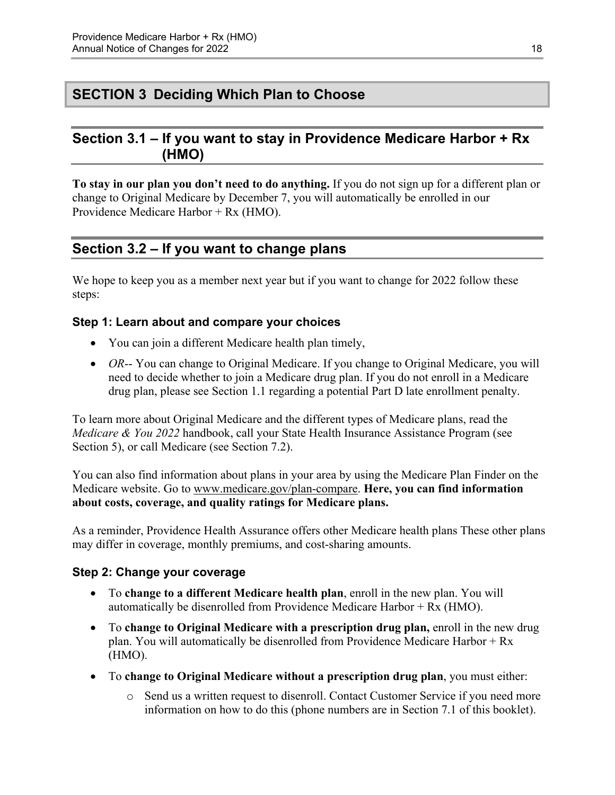# <span id="page-20-0"></span>**SECTION 3 Deciding Which Plan to Choose**

### <span id="page-20-1"></span>**Section 3.1 – If you want to stay in Providence Medicare Harbor + Rx (HMO)**

**To stay in our plan you don't need to do anything.** If you do not sign up for a different plan or change to Original Medicare by December 7, you will automatically be enrolled in our Providence Medicare Harbor + Rx (HMO).

# <span id="page-20-2"></span>**Section 3.2 – If you want to change plans**

We hope to keep you as a member next year but if you want to change for 2022 follow these steps:

### **Step 1: Learn about and compare your choices**

- You can join a different Medicare health plan timely,
- *OR*-- You can change to Original Medicare. If you change to Original Medicare, you will need to decide whether to join a Medicare drug plan. If you do not enroll in a Medicare drug plan, please see Section 1.1 regarding a potential Part D late enrollment penalty.

To learn more about Original Medicare and the different types of Medicare plans, read the *Medicare & You 2022* handbook, call your State Health Insurance Assistance Program (see Section 5), or call Medicare (see Section 7.2).

You can also find information about plans in your area by using the Medicare Plan Finder on the Medicare website. Go to [www.medicare.gov/plan-compare](http://www.medicare.gov/plan-compare). **Here, you can find information about costs, coverage, and quality ratings for Medicare plans.** 

As a reminder, Providence Health Assurance offers other Medicare health plans These other plans may differ in coverage, monthly premiums, and cost-sharing amounts.

#### **Step 2: Change your coverage**

- To **change to a different Medicare health plan**, enroll in the new plan. You will automatically be disenrolled from Providence Medicare Harbor + Rx (HMO).
- To **change to Original Medicare with a prescription drug plan,** enroll in the new drug plan. You will automatically be disenrolled from Providence Medicare Harbor + Rx (HMO).
- To **change to Original Medicare without a prescription drug plan**, you must either:
	- $\circ$  Send us a written request to disenroll. Contact Customer Service if you need more information on how to do this (phone numbers are in Section 7.1 of this booklet).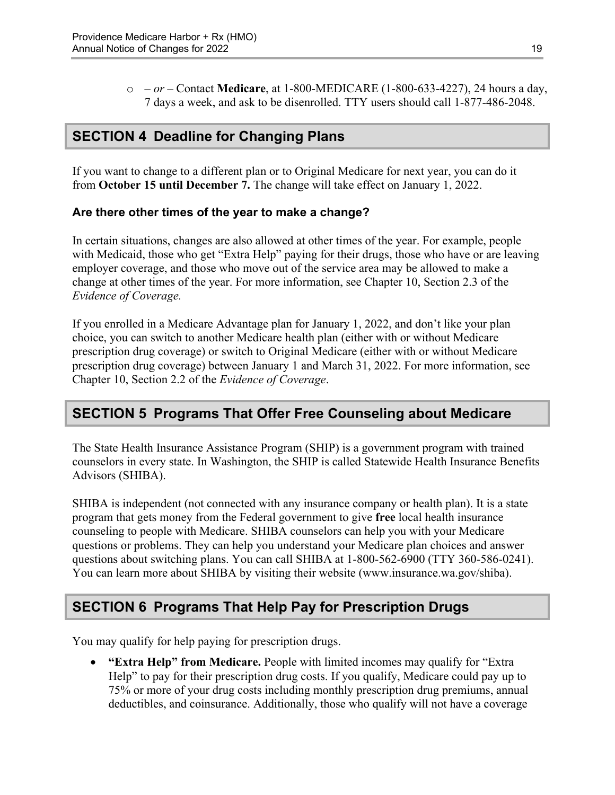o *– or –* Contact **Medicare**, at 1-800-MEDICARE (1-800-633-4227), 24 hours a day, 7 days a week, and ask to be disenrolled. TTY users should call 1-877-486-2048.

# <span id="page-21-0"></span>**SECTION 4 Deadline for Changing Plans**

If you want to change to a different plan or to Original Medicare for next year, you can do it from **October 15 until December 7.** The change will take effect on January 1, 2022.

### **Are there other times of the year to make a change?**

In certain situations, changes are also allowed at other times of the year. For example, people with Medicaid, those who get "Extra Help" paying for their drugs, those who have or are leaving employer coverage, and those who move out of the service area may be allowed to make a change at other times of the year. For more information, see Chapter 10, Section 2.3 of the *Evidence of Coverage.* 

 Chapter 10, Section 2.2 of the *Evidence of Coverage*. If you enrolled in a Medicare Advantage plan for January 1, 2022, and don't like your plan choice, you can switch to another Medicare health plan (either with or without Medicare prescription drug coverage) or switch to Original Medicare (either with or without Medicare prescription drug coverage) between January 1 and March 31, 2022. For more information, see

# <span id="page-21-1"></span>**SECTION 5 Programs That Offer Free Counseling about Medicare**

The State Health Insurance Assistance Program (SHIP) is a government program with trained counselors in every state. In Washington, the SHIP is called Statewide Health Insurance Benefits Advisors (SHIBA).

 SHIBA is independent (not connected with any insurance company or health plan). It is a state program that gets money from the Federal government to give **free** local health insurance counseling to people with Medicare. SHIBA counselors can help you with your Medicare questions or problems. They can help you understand your Medicare plan choices and answer questions about switching plans. You can call SHIBA at 1-800-562-6900 (TTY 360-586-0241). You can learn more about SHIBA by visiting their website [\(www.insurance.wa.gov/shiba\)](http://www.insurance.wa.gov/shiba).

# <span id="page-21-2"></span>**SECTION 6 Programs That Help Pay for Prescription Drugs**

You may qualify for help paying for prescription drugs.

 **"Extra Help" from Medicare.** People with limited incomes may qualify for "Extra Help" to pay for their prescription drug costs. If you qualify, Medicare could pay up to 75% or more of your drug costs including monthly prescription drug premiums, annual deductibles, and coinsurance. Additionally, those who qualify will not have a coverage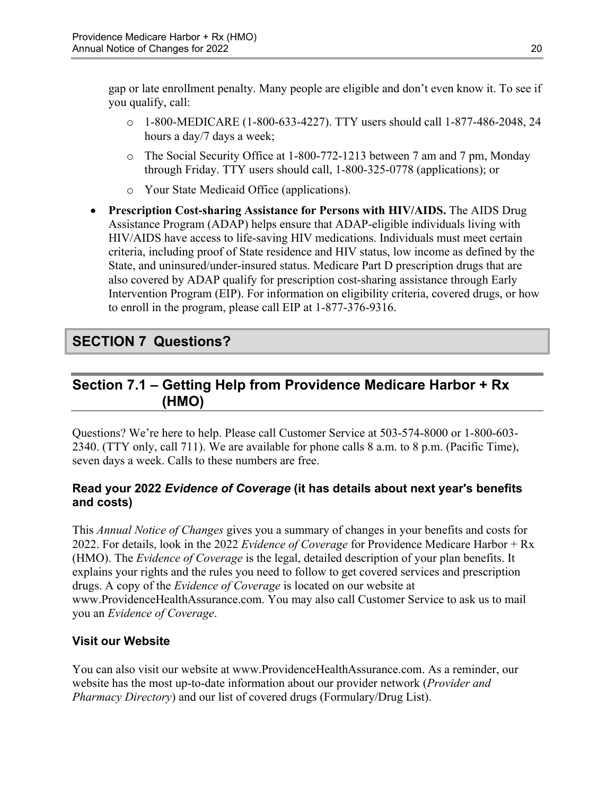gap or late enrollment penalty. Many people are eligible and don't even know it. To see if you qualify, call:

- $\circ$  1-800-MEDICARE (1-800-633-4227). TTY users should call 1-877-486-2048, 24 hours a day/7 days a week;
- $\circ$  The Social Security Office at 1-800-772-1213 between 7 am and 7 pm, Monday through Friday. TTY users should call, 1-800-325-0778 (applications); or
- o Your State Medicaid Office (applications).
- **Prescription Cost-sharing Assistance for Persons with HIV/AIDS.** The AIDS Drug Assistance Program (ADAP) helps ensure that ADAP-eligible individuals living with HIV/AIDS have access to life-saving HIV medications. Individuals must meet certain criteria, including proof of State residence and HIV status, low income as defined by the State, and uninsured/under-insured status. Medicare Part D prescription drugs that are also covered by ADAP qualify for prescription cost-sharing assistance through Early Intervention Program (EIP). For information on eligibility criteria, covered drugs, or how to enroll in the program, please call EIP at 1-877-376-9316.

# <span id="page-22-0"></span>**SECTION 7 Questions?**

# <span id="page-22-1"></span>**Section 7.1 – Getting Help from Providence Medicare Harbor + Rx (HMO)**

Questions? We're here to help. Please call Customer Service at 503-574-8000 or 1-800-603 2340. (TTY only, call 711). We are available for phone calls 8 a.m. to 8 p.m. (Pacific Time), seven days a week. Calls to these numbers are free.

### **Read your 2022** *Evidence of Coverage* **(it has details about next year's benefits and costs)**

This *Annual Notice of Changes* gives you a summary of changes in your benefits and costs for 2022. For details, look in the 2022 *Evidence of Coverage* for Providence Medicare Harbor + Rx (HMO). The *Evidence of Coverage* is the legal, detailed description of your plan benefits. It explains your rights and the rules you need to follow to get covered services and prescription drugs. A copy of the *Evidence of Coverage* is located on our website at [www.ProvidenceHealthAssurance.com.](http://www.ProvidenceHealthAssurance.com) You may also call Customer Service to ask us to mail you an *Evidence of Coverage*.

### **Visit our Website**

You can also visit our website at [www.ProvidenceHealthAssurance.com](http://www.ProvidenceHealthAssurance.com). As a reminder, our website has the most up-to-date information about our provider network (*Provider and Pharmacy Directory*) and our list of covered drugs (Formulary/Drug List).